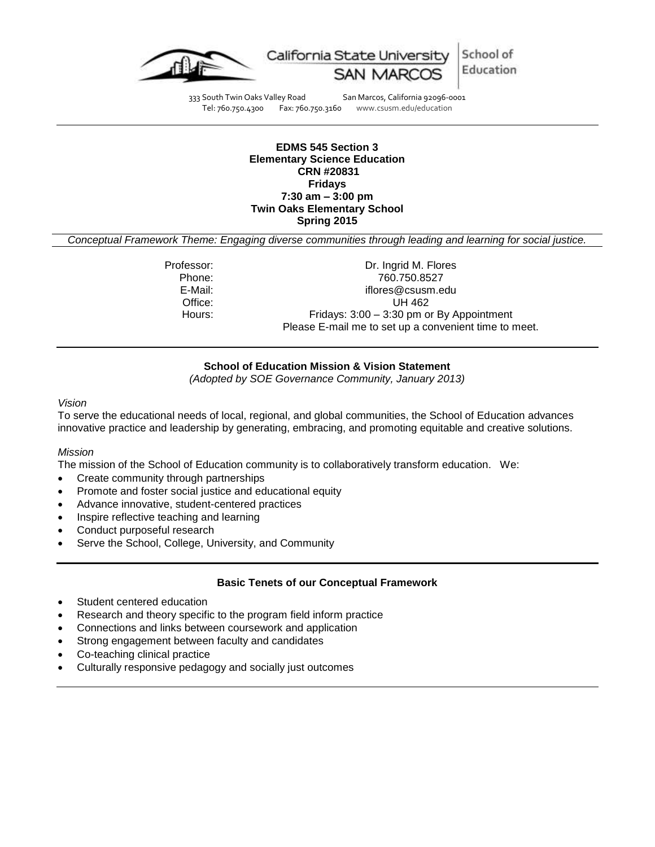

School of Education

333 South Twin Oaks Valley Road San Marcos, California 92096-0001 Tel: 760.750.4300 Fax: 760.750.3160 www.csusm.edu/education

#### **EDMS 545 Section 3 Elementary Science Education CRN #20831 Fridays 7:30 am – 3:00 pm Twin Oaks Elementary School Spring 2015**

*Conceptual Framework Theme: Engaging diverse communities through leading and learning for social justice.*

Professor: Dr. Ingrid M. Flores<br>Phone: 260.750.8527 Phone: 760.750.8527<br>E-Mail: 760.750.8527 iflores@csusm.edu Office: UH 462 Hours: Fridays: 3:00 – 3:30 pm or By Appointment Please E-mail me to set up a convenient time to meet.

## **School of Education Mission & Vision Statement**

*(Adopted by SOE Governance Community, January 2013)*

#### *Vision*

To serve the educational needs of local, regional, and global communities, the School of Education advances innovative practice and leadership by generating, embracing, and promoting equitable and creative solutions.

#### *Mission*

The mission of the School of Education community is to collaboratively transform education. We:

- Create community through partnerships
- Promote and foster social justice and educational equity
- Advance innovative, student-centered practices
- Inspire reflective teaching and learning
- Conduct purposeful research
- Serve the School, College, University, and Community

#### **Basic Tenets of our Conceptual Framework**

- Student centered education
- Research and theory specific to the program field inform practice
- Connections and links between coursework and application
- Strong engagement between faculty and candidates
- Co-teaching clinical practice
- Culturally responsive pedagogy and socially just outcomes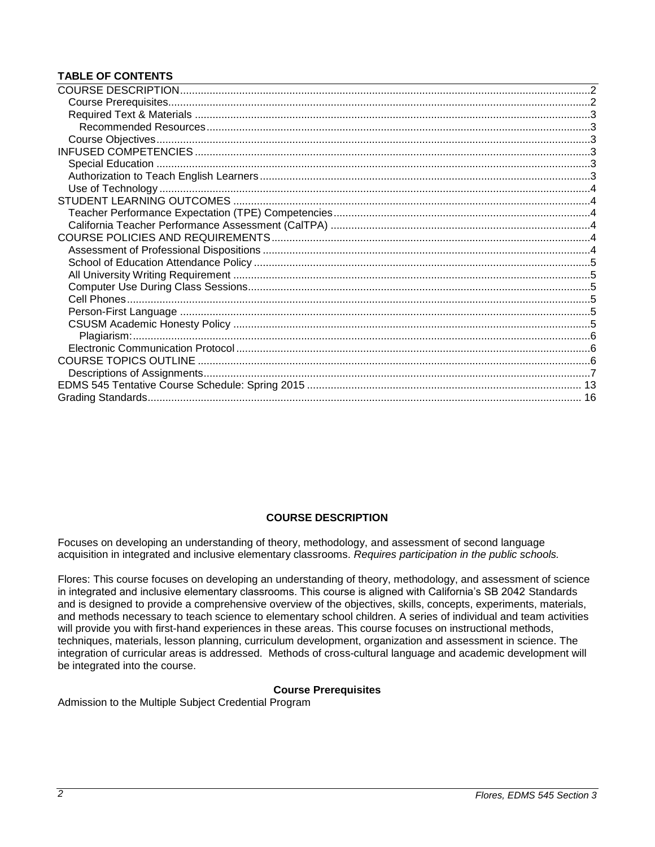# **TABLE OF CONTENTS**

# **COURSE DESCRIPTION**

<span id="page-1-0"></span>Focuses on developing an understanding of theory, methodology, and assessment of second language acquisition in integrated and inclusive elementary classrooms. *Requires participation in the public schools.*

Flores: This course focuses on developing an understanding of theory, methodology, and assessment of science in integrated and inclusive elementary classrooms. This course is aligned with California's SB 2042 Standards and is designed to provide a comprehensive overview of the objectives, skills, concepts, experiments, materials, and methods necessary to teach science to elementary school children. A series of individual and team activities will provide you with first-hand experiences in these areas. This course focuses on instructional methods, techniques, materials, lesson planning, curriculum development, organization and assessment in science. The integration of curricular areas is addressed. Methods of cross-cultural language and academic development will be integrated into the course.

# **Course Prerequisites**

<span id="page-1-2"></span><span id="page-1-1"></span>Admission to the Multiple Subject Credential Program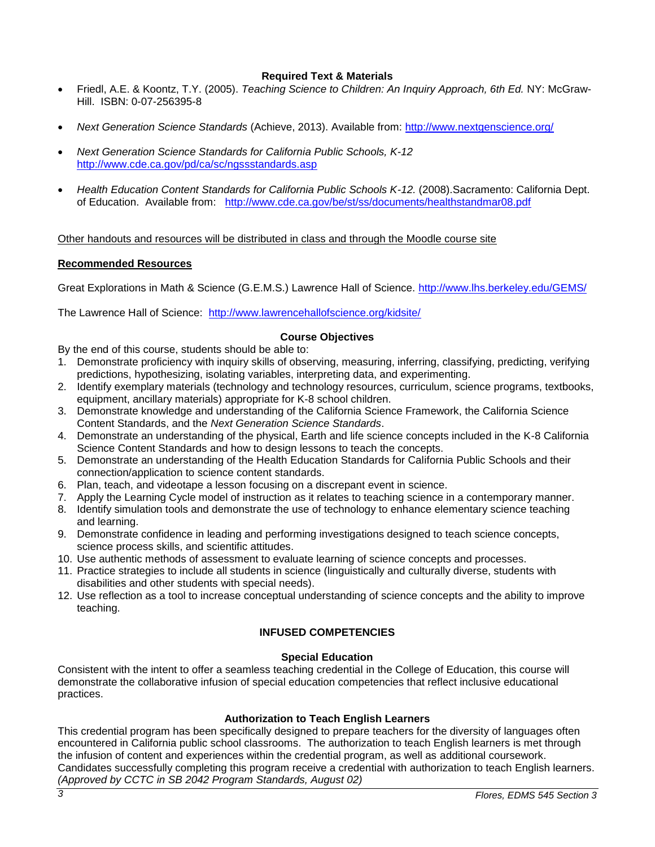# **Required Text & Materials**

- Friedl, A.E. & Koontz, T.Y. (2005). *Teaching Science to Children: An Inquiry Approach, 6th Ed.* NY: McGraw-Hill. ISBN: 0-07-256395-8
- *Next Generation Science Standards* (Achieve, 2013). Available from:<http://www.nextgenscience.org/>
- *Next Generation Science Standards for California Public Schools, K-12* <http://www.cde.ca.gov/pd/ca/sc/ngssstandards.asp>
- *Health Education Content Standards for California Public Schools K-12.* (2008).Sacramento: California Dept. of Education. Available from: <http://www.cde.ca.gov/be/st/ss/documents/healthstandmar08.pdf>

Other handouts and resources will be distributed in class and through the Moodle course site

#### <span id="page-2-0"></span>**Recommended Resources**

Great Explorations in Math & Science (G.E.M.S.) Lawrence Hall of Science.<http://www.lhs.berkeley.edu/GEMS/>

The Lawrence Hall of Science: <http://www.lawrencehallofscience.org/kidsite/>

# **Course Objectives**

- <span id="page-2-1"></span>By the end of this course, students should be able to:
- 1. Demonstrate proficiency with inquiry skills of observing, measuring, inferring, classifying, predicting, verifying predictions, hypothesizing, isolating variables, interpreting data, and experimenting.
- 2. Identify exemplary materials (technology and technology resources, curriculum, science programs, textbooks, equipment, ancillary materials) appropriate for K-8 school children.
- 3. Demonstrate knowledge and understanding of the California Science Framework, the California Science Content Standards, and the *Next Generation Science Standards*.
- 4. Demonstrate an understanding of the physical, Earth and life science concepts included in the K-8 California Science Content Standards and how to design lessons to teach the concepts.
- 5. Demonstrate an understanding of the Health Education Standards for California Public Schools and their connection/application to science content standards.
- 6. Plan, teach, and videotape a lesson focusing on a discrepant event in science.
- 7. Apply the Learning Cycle model of instruction as it relates to teaching science in a contemporary manner.
- 8. Identify simulation tools and demonstrate the use of technology to enhance elementary science teaching and learning.
- 9. Demonstrate confidence in leading and performing investigations designed to teach science concepts, science process skills, and scientific attitudes.
- 10. Use authentic methods of assessment to evaluate learning of science concepts and processes.
- 11. Practice strategies to include all students in science (linguistically and culturally diverse, students with disabilities and other students with special needs).
- <span id="page-2-2"></span>12. Use reflection as a tool to increase conceptual understanding of science concepts and the ability to improve teaching.

# **INFUSED COMPETENCIES**

#### **Special Education**

<span id="page-2-3"></span>Consistent with the intent to offer a seamless teaching credential in the College of Education, this course will demonstrate the collaborative infusion of special education competencies that reflect inclusive educational practices.

# **Authorization to Teach English Learners**

<span id="page-2-4"></span>This credential program has been specifically designed to prepare teachers for the diversity of languages often encountered in California public school classrooms. The authorization to teach English learners is met through the infusion of content and experiences within the credential program, as well as additional coursework. Candidates successfully completing this program receive a credential with authorization to teach English learners. *(Approved by CCTC in SB 2042 Program Standards, August 02)*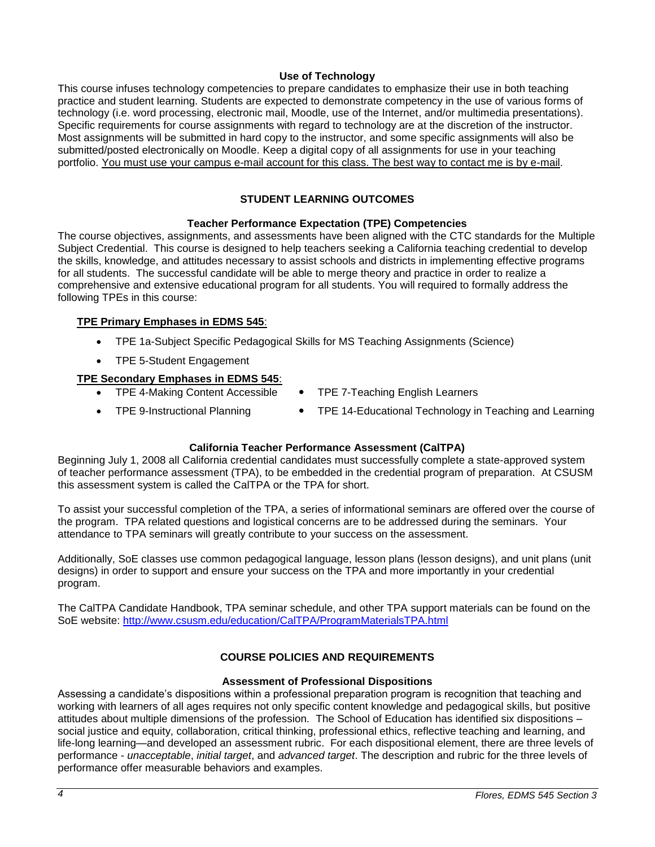# **Use of Technology**

<span id="page-3-0"></span>This course infuses technology competencies to prepare candidates to emphasize their use in both teaching practice and student learning. Students are expected to demonstrate competency in the use of various forms of technology (i.e. word processing, electronic mail, Moodle, use of the Internet, and/or multimedia presentations). Specific requirements for course assignments with regard to technology are at the discretion of the instructor. Most assignments will be submitted in hard copy to the instructor, and some specific assignments will also be submitted/posted electronically on Moodle. Keep a digital copy of all assignments for use in your teaching portfolio. You must use your campus e-mail account for this class. The best way to contact me is by e-mail.

# **STUDENT LEARNING OUTCOMES**

## **Teacher Performance Expectation (TPE) Competencies**

<span id="page-3-2"></span><span id="page-3-1"></span>The course objectives, assignments, and assessments have been aligned with the CTC standards for the Multiple Subject Credential. This course is designed to help teachers seeking a California teaching credential to develop the skills, knowledge, and attitudes necessary to assist schools and districts in implementing effective programs for all students. The successful candidate will be able to merge theory and practice in order to realize a comprehensive and extensive educational program for all students. You will required to formally address the following TPEs in this course:

## **TPE Primary Emphases in EDMS 545**:

- TPE 1a-Subject Specific Pedagogical Skills for MS Teaching Assignments (Science)
- TPE 5-Student Engagement

# **TPE Secondary Emphases in EDMS 545**:

- TPE 4-Making Content Accessible TPE 7-Teaching English Learners
- 
- TPE 9-Instructional Planning TPE 14-Educational Technology in Teaching and Learning

# **California Teacher Performance Assessment (CalTPA)**

<span id="page-3-3"></span>Beginning July 1, 2008 all California credential candidates must successfully complete a state-approved system of teacher performance assessment (TPA), to be embedded in the credential program of preparation. At CSUSM this assessment system is called the CalTPA or the TPA for short.

To assist your successful completion of the TPA, a series of informational seminars are offered over the course of the program. TPA related questions and logistical concerns are to be addressed during the seminars. Your attendance to TPA seminars will greatly contribute to your success on the assessment.

Additionally, SoE classes use common pedagogical language, lesson plans (lesson designs), and unit plans (unit designs) in order to support and ensure your success on the TPA and more importantly in your credential program.

The CalTPA Candidate Handbook, TPA seminar schedule, and other TPA support materials can be found on the SoE website: <http://www.csusm.edu/education/CalTPA/ProgramMaterialsTPA.html>

# **COURSE POLICIES AND REQUIREMENTS**

## **Assessment of Professional Dispositions**

<span id="page-3-5"></span><span id="page-3-4"></span>Assessing a candidate's dispositions within a professional preparation program is recognition that teaching and working with learners of all ages requires not only specific content knowledge and pedagogical skills, but positive attitudes about multiple dimensions of the profession. The School of Education has identified six dispositions – social justice and equity, collaboration, critical thinking, professional ethics, reflective teaching and learning, and life-long learning—and developed an assessment rubric. For each dispositional element, there are three levels of performance - *unacceptable*, *initial target*, and *advanced target*. The description and rubric for the three levels of performance offer measurable behaviors and examples.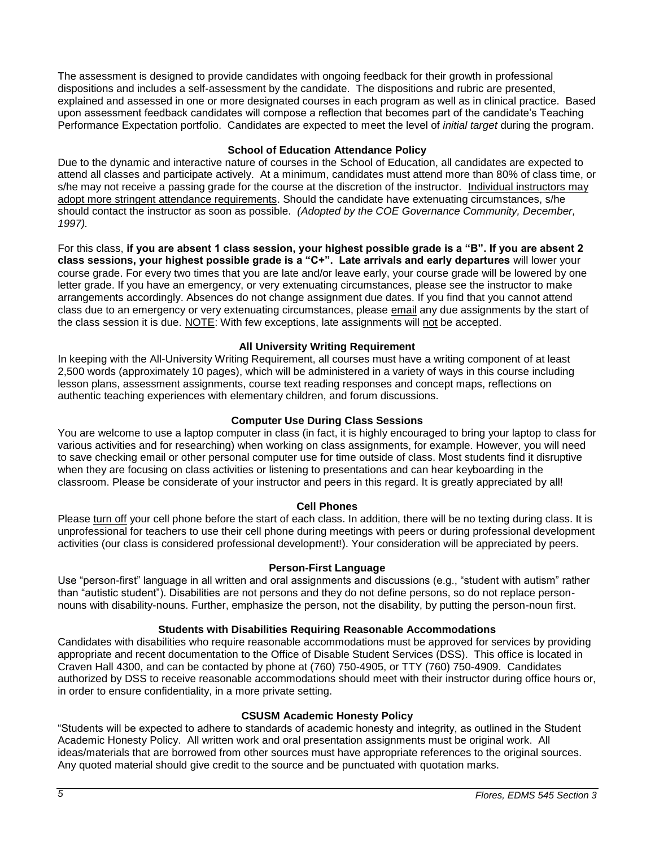The assessment is designed to provide candidates with ongoing feedback for their growth in professional dispositions and includes a self-assessment by the candidate. The dispositions and rubric are presented, explained and assessed in one or more designated courses in each program as well as in clinical practice. Based upon assessment feedback candidates will compose a reflection that becomes part of the candidate's Teaching Performance Expectation portfolio. Candidates are expected to meet the level of *initial target* during the program.

# **School of Education Attendance Policy**

<span id="page-4-0"></span>Due to the dynamic and interactive nature of courses in the School of Education, all candidates are expected to attend all classes and participate actively. At a minimum, candidates must attend more than 80% of class time, or s/he may not receive a passing grade for the course at the discretion of the instructor. Individual instructors may adopt more stringent attendance requirements. Should the candidate have extenuating circumstances, s/he should contact the instructor as soon as possible. *(Adopted by the COE Governance Community, December, 1997).*

For this class, **if you are absent 1 class session, your highest possible grade is a "B". If you are absent 2 class sessions, your highest possible grade is a "C+". Late arrivals and early departures** will lower your course grade. For every two times that you are late and/or leave early, your course grade will be lowered by one letter grade. If you have an emergency, or very extenuating circumstances, please see the instructor to make arrangements accordingly. Absences do not change assignment due dates. If you find that you cannot attend class due to an emergency or very extenuating circumstances, please email any due assignments by the start of the class session it is due. NOTE: With few exceptions, late assignments will not be accepted.

## **All University Writing Requirement**

<span id="page-4-1"></span>In keeping with the All-University Writing Requirement, all courses must have a writing component of at least 2,500 words (approximately 10 pages), which will be administered in a variety of ways in this course including lesson plans, assessment assignments, course text reading responses and concept maps, reflections on authentic teaching experiences with elementary children, and forum discussions.

## **Computer Use During Class Sessions**

<span id="page-4-2"></span>You are welcome to use a laptop computer in class (in fact, it is highly encouraged to bring your laptop to class for various activities and for researching) when working on class assignments, for example. However, you will need to save checking email or other personal computer use for time outside of class. Most students find it disruptive when they are focusing on class activities or listening to presentations and can hear keyboarding in the classroom. Please be considerate of your instructor and peers in this regard. It is greatly appreciated by all!

#### **Cell Phones**

<span id="page-4-3"></span>Please turn off your cell phone before the start of each class. In addition, there will be no texting during class. It is unprofessional for teachers to use their cell phone during meetings with peers or during professional development activities (our class is considered professional development!). Your consideration will be appreciated by peers.

#### **Person-First Language**

<span id="page-4-4"></span>Use "person-first" language in all written and oral assignments and discussions (e.g., "student with autism" rather than "autistic student"). Disabilities are not persons and they do not define persons, so do not replace personnouns with disability-nouns. Further, emphasize the person, not the disability, by putting the person-noun first.

#### **Students with Disabilities Requiring Reasonable Accommodations**

Candidates with disabilities who require reasonable accommodations must be approved for services by providing appropriate and recent documentation to the Office of Disable Student Services (DSS). This office is located in Craven Hall 4300, and can be contacted by phone at (760) 750-4905, or TTY (760) 750-4909. Candidates authorized by DSS to receive reasonable accommodations should meet with their instructor during office hours or, in order to ensure confidentiality, in a more private setting.

# **CSUSM Academic Honesty Policy**

<span id="page-4-5"></span>"Students will be expected to adhere to standards of academic honesty and integrity, as outlined in the Student Academic Honesty Policy. All written work and oral presentation assignments must be original work. All ideas/materials that are borrowed from other sources must have appropriate references to the original sources. Any quoted material should give credit to the source and be punctuated with quotation marks.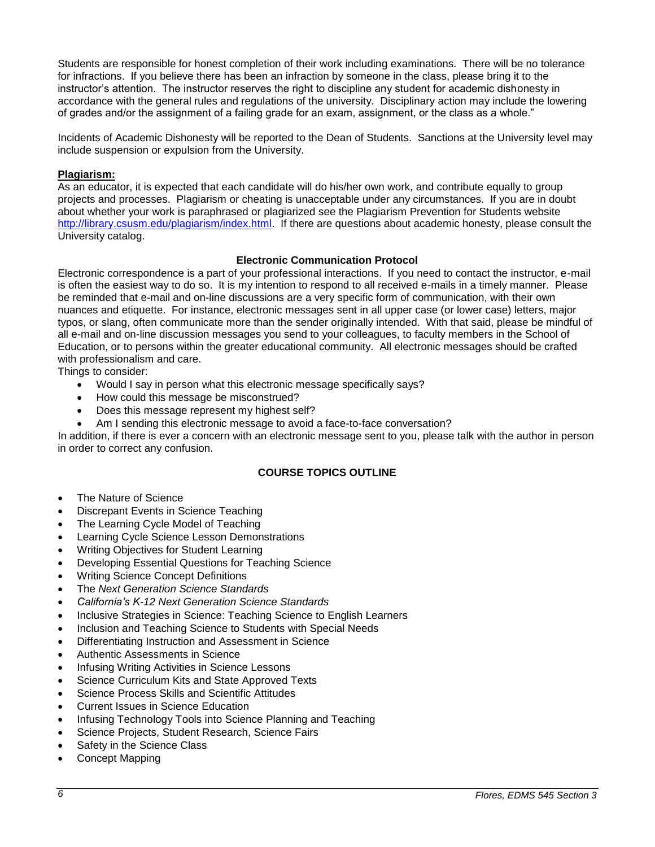Students are responsible for honest completion of their work including examinations. There will be no tolerance for infractions. If you believe there has been an infraction by someone in the class, please bring it to the instructor's attention. The instructor reserves the right to discipline any student for academic dishonesty in accordance with the general rules and regulations of the university. Disciplinary action may include the lowering of grades and/or the assignment of a failing grade for an exam, assignment, or the class as a whole."

Incidents of Academic Dishonesty will be reported to the Dean of Students. Sanctions at the University level may include suspension or expulsion from the University.

# <span id="page-5-0"></span>**Plagiarism:**

As an educator, it is expected that each candidate will do his/her own work, and contribute equally to group projects and processes. Plagiarism or cheating is unacceptable under any circumstances. If you are in doubt about whether your work is paraphrased or plagiarized see the Plagiarism Prevention for Students website [http://library.csusm.edu/plagiarism/index.html.](http://library.csusm.edu/plagiarism/index.html) If there are questions about academic honesty, please consult the University catalog.

## **Electronic Communication Protocol**

<span id="page-5-1"></span>Electronic correspondence is a part of your professional interactions. If you need to contact the instructor, e-mail is often the easiest way to do so. It is my intention to respond to all received e-mails in a timely manner. Please be reminded that e-mail and on-line discussions are a very specific form of communication, with their own nuances and etiquette. For instance, electronic messages sent in all upper case (or lower case) letters, major typos, or slang, often communicate more than the sender originally intended. With that said, please be mindful of all e-mail and on-line discussion messages you send to your colleagues, to faculty members in the School of Education, or to persons within the greater educational community. All electronic messages should be crafted with professionalism and care.

Things to consider:

- Would I say in person what this electronic message specifically says?
- How could this message be misconstrued?
- Does this message represent my highest self?
- Am I sending this electronic message to avoid a face-to-face conversation?

In addition, if there is ever a concern with an electronic message sent to you, please talk with the author in person in order to correct any confusion.

# **COURSE TOPICS OUTLINE**

- <span id="page-5-2"></span>The Nature of Science
- Discrepant Events in Science Teaching
- The Learning Cycle Model of Teaching
- Learning Cycle Science Lesson Demonstrations
- Writing Objectives for Student Learning
- Developing Essential Questions for Teaching Science
- Writing Science Concept Definitions
- The *Next Generation Science Standards*
- *California's K-12 Next Generation Science Standards*
- Inclusive Strategies in Science: Teaching Science to English Learners
- Inclusion and Teaching Science to Students with Special Needs
- Differentiating Instruction and Assessment in Science
- Authentic Assessments in Science
- Infusing Writing Activities in Science Lessons
- Science Curriculum Kits and State Approved Texts
- Science Process Skills and Scientific Attitudes
- Current Issues in Science Education
- Infusing Technology Tools into Science Planning and Teaching
- Science Projects, Student Research, Science Fairs
- Safety in the Science Class
- Concept Mapping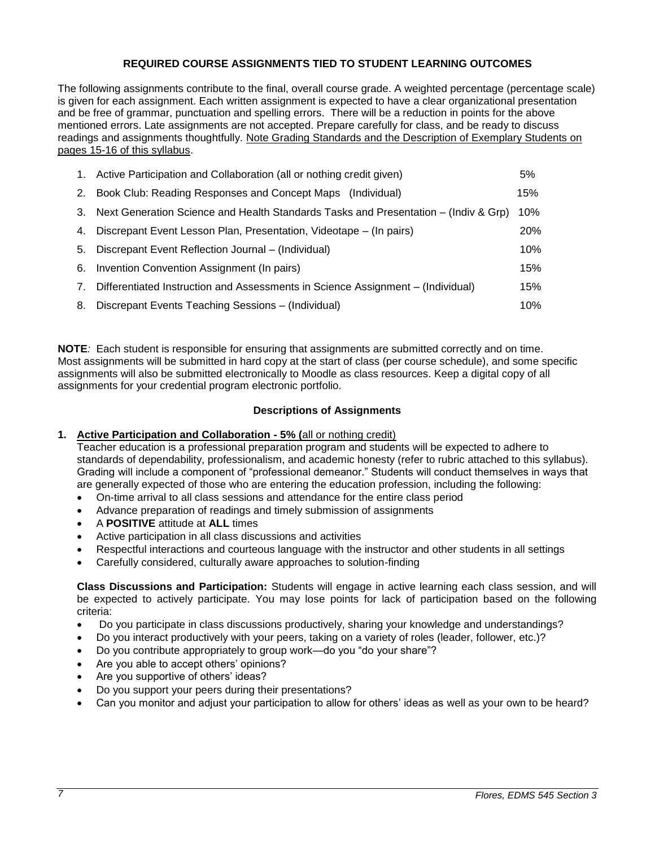# **REQUIRED COURSE ASSIGNMENTS TIED TO STUDENT LEARNING OUTCOMES**

The following assignments contribute to the final, overall course grade. A weighted percentage (percentage scale) is given for each assignment. Each written assignment is expected to have a clear organizational presentation and be free of grammar, punctuation and spelling errors. There will be a reduction in points for the above mentioned errors. Late assignments are not accepted. Prepare carefully for class, and be ready to discuss readings and assignments thoughtfully. Note Grading Standards and the Description of Exemplary Students on pages 15-16 of this syllabus.

| 1. | Active Participation and Collaboration (all or nothing credit given)                |     |  |
|----|-------------------------------------------------------------------------------------|-----|--|
| 2. | Book Club: Reading Responses and Concept Maps (Individual)                          | 15% |  |
| 3. | Next Generation Science and Health Standards Tasks and Presentation – (Indiv & Grp) |     |  |
| 4. | Discrepant Event Lesson Plan, Presentation, Videotape – (In pairs)                  |     |  |
| 5. | Discrepant Event Reflection Journal – (Individual)                                  |     |  |
| 6. | Invention Convention Assignment (In pairs)                                          |     |  |
| 7. | Differentiated Instruction and Assessments in Science Assignment - (Individual)     |     |  |
| 8. | Discrepant Events Teaching Sessions - (Individual)                                  | 10% |  |

**NOTE***:* Each student is responsible for ensuring that assignments are submitted correctly and on time. Most assignments will be submitted in hard copy at the start of class (per course schedule), and some specific assignments will also be submitted electronically to Moodle as class resources. Keep a digital copy of all assignments for your credential program electronic portfolio.

## **Descriptions of Assignments**

#### <span id="page-6-0"></span>**1. Active Participation and Collaboration - 5% (**all or nothing credit)

Teacher education is a professional preparation program and students will be expected to adhere to standards of dependability, professionalism, and academic honesty (refer to rubric attached to this syllabus). Grading will include a component of "professional demeanor." Students will conduct themselves in ways that are generally expected of those who are entering the education profession, including the following:

- On-time arrival to all class sessions and attendance for the entire class period
- Advance preparation of readings and timely submission of assignments
- A **POSITIVE** attitude at **ALL** times
- Active participation in all class discussions and activities
- Respectful interactions and courteous language with the instructor and other students in all settings
- Carefully considered, culturally aware approaches to solution-finding

**Class Discussions and Participation:** Students will engage in active learning each class session, and will be expected to actively participate. You may lose points for lack of participation based on the following criteria:

- Do you participate in class discussions productively, sharing your knowledge and understandings?
- Do you interact productively with your peers, taking on a variety of roles (leader, follower, etc.)?
- Do you contribute appropriately to group work—do you "do your share"?
- Are you able to accept others' opinions?
- Are you supportive of others' ideas?
- Do you support your peers during their presentations?
- Can you monitor and adjust your participation to allow for others' ideas as well as your own to be heard?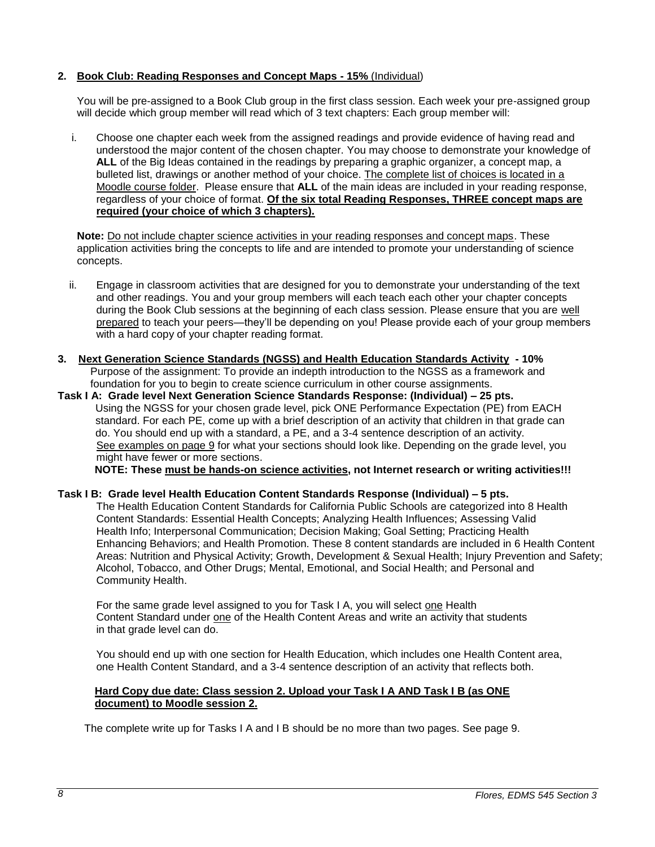# **2. Book Club: Reading Responses and Concept Maps - 15%** (Individual)

You will be pre-assigned to a Book Club group in the first class session. Each week your pre-assigned group will decide which group member will read which of 3 text chapters: Each group member will:

i. Choose one chapter each week from the assigned readings and provide evidence of having read and understood the major content of the chosen chapter. You may choose to demonstrate your knowledge of **ALL** of the Big Ideas contained in the readings by preparing a graphic organizer, a concept map, a bulleted list, drawings or another method of your choice. The complete list of choices is located in a Moodle course folder. Please ensure that **ALL** of the main ideas are included in your reading response, regardless of your choice of format. **Of the six total Reading Responses, THREE concept maps are required (your choice of which 3 chapters).**

**Note:** Do not include chapter science activities in your reading responses and concept maps. These application activities bring the concepts to life and are intended to promote your understanding of science concepts.

- ii. Engage in classroom activities that are designed for you to demonstrate your understanding of the text and other readings. You and your group members will each teach each other your chapter concepts during the Book Club sessions at the beginning of each class session. Please ensure that you are well prepared to teach your peers—they'll be depending on you! Please provide each of your group members with a hard copy of your chapter reading format.
- **3. Next Generation Science Standards (NGSS) and Health Education Standards Activity - 10%** Purpose of the assignment: To provide an indepth introduction to the NGSS as a framework and foundation for you to begin to create science curriculum in other course assignments.
- **Task I A: Grade level Next Generation Science Standards Response: (Individual) – 25 pts.** Using the NGSS for your chosen grade level, pick ONE Performance Expectation (PE) from EACH standard. For each PE, come up with a brief description of an activity that children in that grade can do. You should end up with a standard, a PE, and a 3-4 sentence description of an activity. See examples on page 9 for what your sections should look like. Depending on the grade level, you might have fewer or more sections.

**NOTE: These must be hands-on science activities, not Internet research or writing activities!!!**

#### **Task I B: Grade level Health Education Content Standards Response (Individual) – 5 pts.**

The Health Education Content Standards for California Public Schools are categorized into 8 Health Content Standards: Essential Health Concepts; Analyzing Health Influences; Assessing Valid Health Info; Interpersonal Communication; Decision Making; Goal Setting; Practicing Health Enhancing Behaviors; and Health Promotion. These 8 content standards are included in 6 Health Content Areas: Nutrition and Physical Activity; Growth, Development & Sexual Health; Injury Prevention and Safety; Alcohol, Tobacco, and Other Drugs; Mental, Emotional, and Social Health; and Personal and Community Health.

For the same grade level assigned to you for Task I A, you will select one Health Content Standard under one of the Health Content Areas and write an activity that students in that grade level can do.

You should end up with one section for Health Education, which includes one Health Content area, one Health Content Standard, and a 3-4 sentence description of an activity that reflects both.

## **Hard Copy due date: Class session 2. Upload your Task I A AND Task I B (as ONE document) to Moodle session 2.**

The complete write up for Tasks I A and I B should be no more than two pages. See page 9.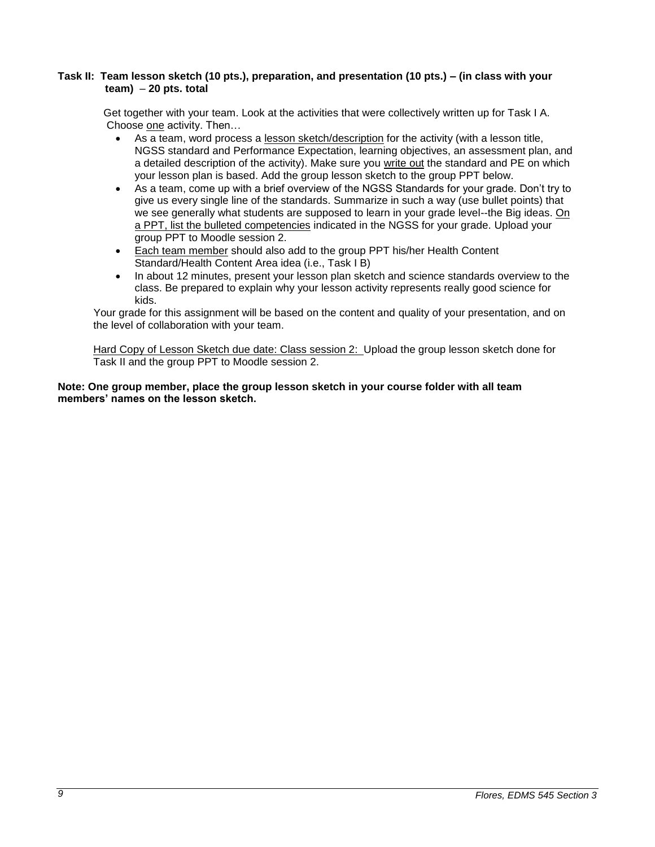#### **Task II: Team lesson sketch (10 pts.), preparation, and presentation (10 pts.) – (in class with your team)** – **20 pts. total**

 Get together with your team. Look at the activities that were collectively written up for Task I A. Choose one activity. Then…

- As a team, word process a lesson sketch/description for the activity (with a lesson title, NGSS standard and Performance Expectation, learning objectives, an assessment plan, and a detailed description of the activity). Make sure you write out the standard and PE on which your lesson plan is based. Add the group lesson sketch to the group PPT below.
- As a team, come up with a brief overview of the NGSS Standards for your grade. Don't try to give us every single line of the standards. Summarize in such a way (use bullet points) that we see generally what students are supposed to learn in your grade level--the Big ideas. On a PPT, list the bulleted competencies indicated in the NGSS for your grade. Upload your group PPT to Moodle session 2.
- Each team member should also add to the group PPT his/her Health Content Standard/Health Content Area idea (i.e., Task I B)
- In about 12 minutes, present your lesson plan sketch and science standards overview to the class. Be prepared to explain why your lesson activity represents really good science for kids.

 Your grade for this assignment will be based on the content and quality of your presentation, and on the level of collaboration with your team.

Hard Copy of Lesson Sketch due date: Class session 2: Upload the group lesson sketch done for Task II and the group PPT to Moodle session 2.

## **Note: One group member, place the group lesson sketch in your course folder with all team members' names on the lesson sketch.**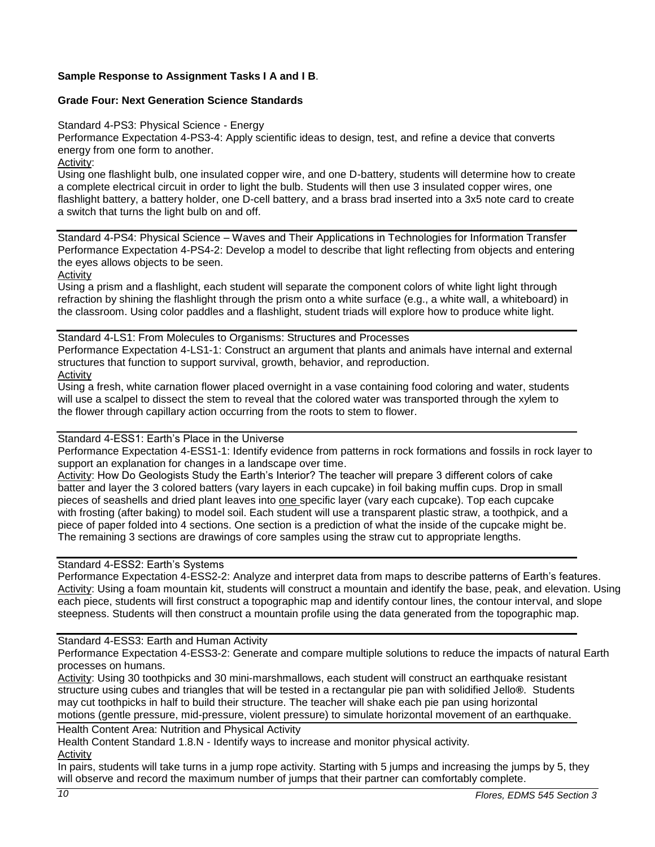# **Sample Response to Assignment Tasks I A and I B**.

# **Grade Four: Next Generation Science Standards**

Standard 4-PS3: Physical Science - Energy

Performance Expectation 4-PS3-4: Apply scientific ideas to design, test, and refine a device that converts energy from one form to another.

Activity:

Using one flashlight bulb, one insulated copper wire, and one D-battery, students will determine how to create a complete electrical circuit in order to light the bulb. Students will then use 3 insulated copper wires, one flashlight battery, a battery holder, one D-cell battery, and a brass brad inserted into a 3x5 note card to create a switch that turns the light bulb on and off.

Standard 4-PS4: Physical Science – Waves and Their Applications in Technologies for Information Transfer Performance Expectation 4-PS4-2: Develop a model to describe that light reflecting from objects and entering the eyes allows objects to be seen.

Activity

Using a prism and a flashlight, each student will separate the component colors of white light light through refraction by shining the flashlight through the prism onto a white surface (e.g., a white wall, a whiteboard) in the classroom. Using color paddles and a flashlight, student triads will explore how to produce white light.

Standard 4-LS1: From Molecules to Organisms: Structures and Processes Performance Expectation 4-LS1-1: Construct an argument that plants and animals have internal and external structures that function to support survival, growth, behavior, and reproduction. Activity

Using a fresh, white carnation flower placed overnight in a vase containing food coloring and water, students will use a scalpel to dissect the stem to reveal that the colored water was transported through the xylem to the flower through capillary action occurring from the roots to stem to flower.

# Standard 4-ESS1: Earth's Place in the Universe

Performance Expectation 4-ESS1-1: Identify evidence from patterns in rock formations and fossils in rock layer to support an explanation for changes in a landscape over time.

Activity: How Do Geologists Study the Earth's Interior? The teacher will prepare 3 different colors of cake batter and layer the 3 colored batters (vary layers in each cupcake) in foil baking muffin cups. Drop in small pieces of seashells and dried plant leaves into one specific layer (vary each cupcake). Top each cupcake with frosting (after baking) to model soil. Each student will use a transparent plastic straw, a toothpick, and a piece of paper folded into 4 sections. One section is a prediction of what the inside of the cupcake might be. The remaining 3 sections are drawings of core samples using the straw cut to appropriate lengths.

Standard 4-ESS2: Earth's Systems

Performance Expectation 4-ESS2-2: Analyze and interpret data from maps to describe patterns of Earth's features. Activity: Using a foam mountain kit, students will construct a mountain and identify the base, peak, and elevation. Using each piece, students will first construct a topographic map and identify contour lines, the contour interval, and slope steepness. Students will then construct a mountain profile using the data generated from the topographic map.

#### Standard 4-ESS3: Earth and Human Activity

Performance Expectation 4-ESS3-2: Generate and compare multiple solutions to reduce the impacts of natural Earth processes on humans.

Activity: Using 30 toothpicks and 30 mini-marshmallows, each student will construct an earthquake resistant structure using cubes and triangles that will be tested in a rectangular pie pan with solidified Jello**®**. Students may cut toothpicks in half to build their structure. The teacher will shake each pie pan using horizontal motions (gentle pressure, mid-pressure, violent pressure) to simulate horizontal movement of an earthquake.

Health Content Area: Nutrition and Physical Activity

Health Content Standard 1.8.N - Identify ways to increase and monitor physical activity*.* Activity

In pairs, students will take turns in a jump rope activity. Starting with 5 jumps and increasing the jumps by 5, they will observe and record the maximum number of jumps that their partner can comfortably complete.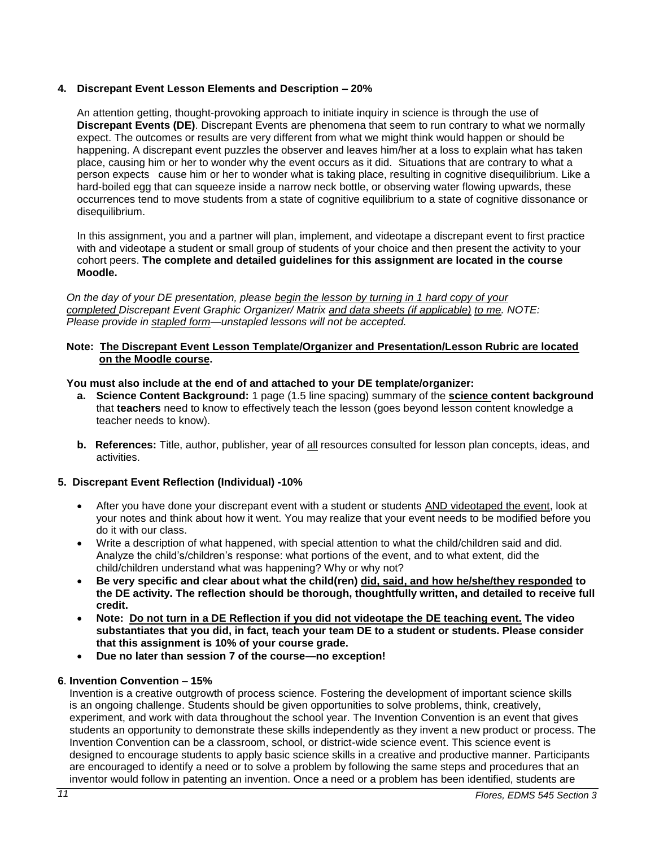# **4. Discrepant Event Lesson Elements and Description – 20%**

An attention getting, thought-provoking approach to initiate inquiry in science is through the use of **Discrepant Events (DE)**. Discrepant Events are phenomena that seem to run contrary to what we normally expect. The outcomes or results are very different from what we might think would happen or should be happening. A discrepant event puzzles the observer and leaves him/her at a loss to explain what has taken place, causing him or her to wonder why the event occurs as it did. Situations that are contrary to what a person expects cause him or her to wonder what is taking place, resulting in cognitive disequilibrium. Like a hard-boiled egg that can squeeze inside a narrow neck bottle, or observing water flowing upwards, these occurrences tend to move students from a state of cognitive equilibrium to a state of cognitive dissonance or disequilibrium.

In this assignment, you and a partner will plan, implement, and videotape a discrepant event to first practice with and videotape a student or small group of students of your choice and then present the activity to your cohort peers. **The complete and detailed guidelines for this assignment are located in the course Moodle.** 

*On the day of your DE presentation, please begin the lesson by turning in 1 hard copy of your completed Discrepant Event Graphic Organizer/ Matrix and data sheets (if applicable) to me. NOTE: Please provide in stapled form—unstapled lessons will not be accepted.* 

# **Note: The Discrepant Event Lesson Template/Organizer and Presentation/Lesson Rubric are located on the Moodle course.**

## **You must also include at the end of and attached to your DE template/organizer:**

- **a. Science Content Background:** 1 page (1.5 line spacing) summary of the **science content background** that **teachers** need to know to effectively teach the lesson (goes beyond lesson content knowledge a teacher needs to know).
- **b. References:** Title, author, publisher, year of all resources consulted for lesson plan concepts, ideas, and activities.

#### **5. Discrepant Event Reflection (Individual) -10%**

- After you have done your discrepant event with a student or students AND videotaped the event, look at your notes and think about how it went. You may realize that your event needs to be modified before you do it with our class.
- Write a description of what happened, with special attention to what the child/children said and did. Analyze the child's/children's response: what portions of the event, and to what extent, did the child/children understand what was happening? Why or why not?
- **Be very specific and clear about what the child(ren) did, said, and how he/she/they responded to the DE activity. The reflection should be thorough, thoughtfully written, and detailed to receive full credit.**
- **Note: Do not turn in a DE Reflection if you did not videotape the DE teaching event. The video substantiates that you did, in fact, teach your team DE to a student or students. Please consider that this assignment is 10% of your course grade.**
- **Due no later than session 7 of the course—no exception!**

# **6**. **Invention Convention – 15%**

Invention is a creative outgrowth of process science. Fostering the development of important science skills is an ongoing challenge. Students should be given opportunities to solve problems, think, creatively, experiment, and work with data throughout the school year. The Invention Convention is an event that gives students an opportunity to demonstrate these skills independently as they invent a new product or process. The Invention Convention can be a classroom, school, or district-wide science event. This science event is designed to encourage students to apply basic science skills in a creative and productive manner. Participants are encouraged to identify a need or to solve a problem by following the same steps and procedures that an inventor would follow in patenting an invention. Once a need or a problem has been identified, students are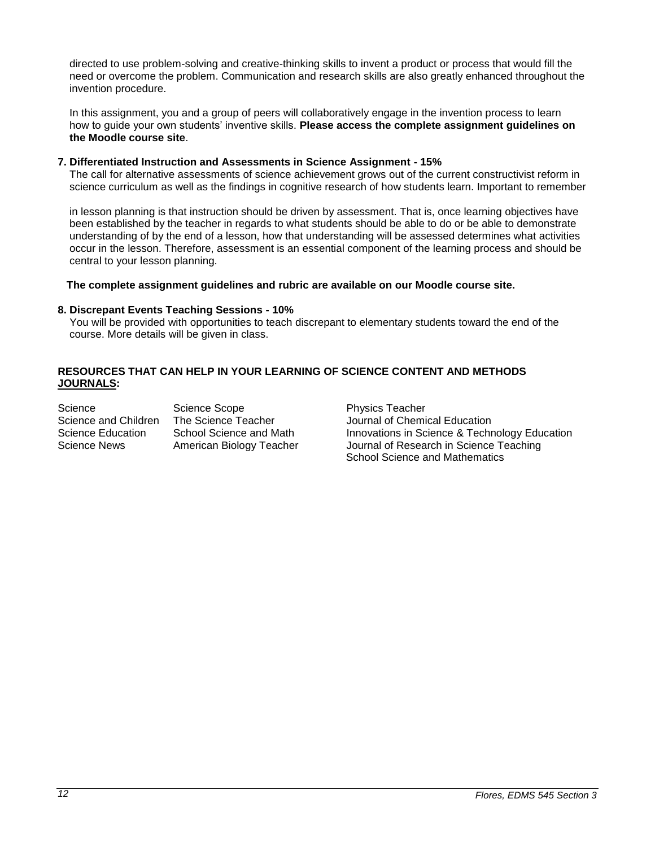directed to use problem-solving and creative-thinking skills to invent a product or process that would fill the need or overcome the problem. Communication and research skills are also greatly enhanced throughout the invention procedure.

 In this assignment, you and a group of peers will collaboratively engage in the invention process to learn how to guide your own students' inventive skills. **Please access the complete assignment guidelines on the Moodle course site**.

#### **7. Differentiated Instruction and Assessments in Science Assignment - 15%**

The call for alternative assessments of science achievement grows out of the current constructivist reform in science curriculum as well as the findings in cognitive research of how students learn. Important to remember

 in lesson planning is that instruction should be driven by assessment. That is, once learning objectives have been established by the teacher in regards to what students should be able to do or be able to demonstrate understanding of by the end of a lesson, how that understanding will be assessed determines what activities occur in the lesson. Therefore, assessment is an essential component of the learning process and should be central to your lesson planning.

## **The complete assignment guidelines and rubric are available on our Moodle course site.**

#### **8. Discrepant Events Teaching Sessions - 10%**

 You will be provided with opportunities to teach discrepant to elementary students toward the end of the course. More details will be given in class.

# **RESOURCES THAT CAN HELP IN YOUR LEARNING OF SCIENCE CONTENT AND METHODS JOURNALS:**

Science Science Scope **Physics Teacher** Physics Teacher

Science and Children The Science Teacher **Internal Science Teacher** Journal of Chemical Education Science Education School Science and Math Innovations in Science & Technology Education Science News American Biology Teacher Journal of Research in Science Teaching School Science and Mathematics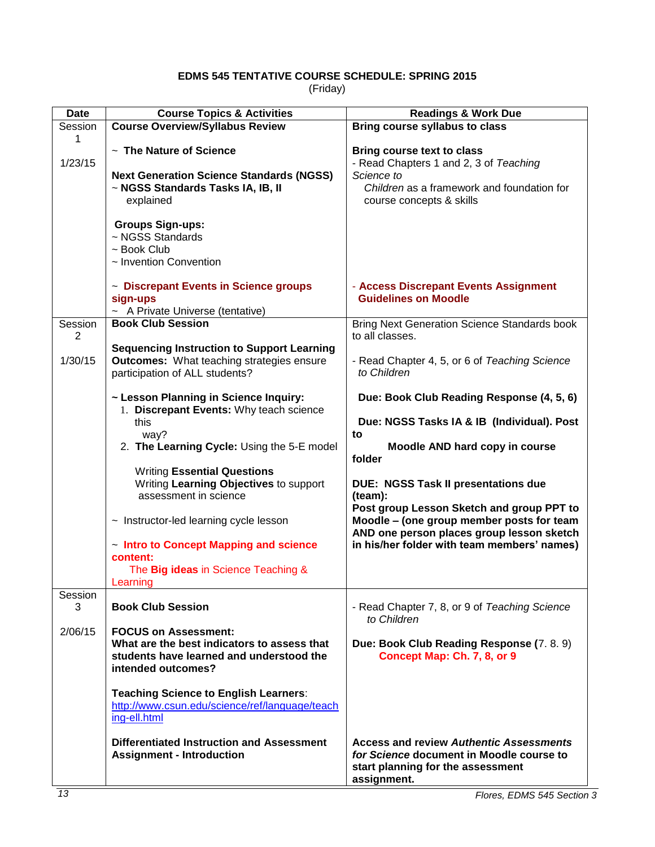# **EDMS 545 TENTATIVE COURSE SCHEDULE: SPRING 2015**

(Friday)

<span id="page-12-0"></span>

| <b>Date</b>               | <b>Course Topics &amp; Activities</b>                                                                                                        | <b>Readings &amp; Work Due</b>                                                                                                                                      |
|---------------------------|----------------------------------------------------------------------------------------------------------------------------------------------|---------------------------------------------------------------------------------------------------------------------------------------------------------------------|
| Session<br>1              | <b>Course Overview/Syllabus Review</b>                                                                                                       | Bring course syllabus to class                                                                                                                                      |
| 1/23/15                   | $\sim$ The Nature of Science<br><b>Next Generation Science Standards (NGSS)</b><br>~ NGSS Standards Tasks IA, IB, II<br>explained            | <b>Bring course text to class</b><br>- Read Chapters 1 and 2, 3 of Teaching<br>Science to<br>Children as a framework and foundation for<br>course concepts & skills |
|                           | <b>Groups Sign-ups:</b><br>~ NGSS Standards<br>$\sim$ Book Club<br>~ Invention Convention                                                    |                                                                                                                                                                     |
|                           | ~ Discrepant Events in Science groups<br>sign-ups<br>~ A Private Universe (tentative)                                                        | - Access Discrepant Events Assignment<br><b>Guidelines on Moodle</b>                                                                                                |
| Session<br>$\overline{2}$ | <b>Book Club Session</b>                                                                                                                     | <b>Bring Next Generation Science Standards book</b><br>to all classes.                                                                                              |
| 1/30/15                   | <b>Sequencing Instruction to Support Learning</b><br><b>Outcomes:</b> What teaching strategies ensure<br>participation of ALL students?      | - Read Chapter 4, 5, or 6 of Teaching Science<br>to Children                                                                                                        |
|                           | ~ Lesson Planning in Science Inquiry:<br>1. Discrepant Events: Why teach science                                                             | Due: Book Club Reading Response (4, 5, 6)                                                                                                                           |
|                           | this<br>way?<br>2. The Learning Cycle: Using the 5-E model                                                                                   | Due: NGSS Tasks IA & IB (Individual). Post<br>to<br>Moodle AND hard copy in course<br>folder                                                                        |
|                           | <b>Writing Essential Questions</b><br>Writing Learning Objectives to support<br>assessment in science                                        | <b>DUE: NGSS Task II presentations due</b><br>(team):                                                                                                               |
|                           | $\sim$ Instructor-led learning cycle lesson<br>- Intro to Concept Mapping and science                                                        | Post group Lesson Sketch and group PPT to<br>Moodle - (one group member posts for team<br>AND one person places group lesson sketch                                 |
|                           | content:<br>The Big ideas in Science Teaching &<br>Learning                                                                                  | in his/her folder with team members' names)                                                                                                                         |
| Session<br>3              | <b>Book Club Session</b>                                                                                                                     | - Read Chapter 7, 8, or 9 of Teaching Science<br>to Children                                                                                                        |
| 2/06/15                   | <b>FOCUS on Assessment:</b><br>What are the best indicators to assess that<br>students have learned and understood the<br>intended outcomes? | Due: Book Club Reading Response (7.8.9)<br>Concept Map: Ch. 7, 8, or 9                                                                                              |
|                           | <b>Teaching Science to English Learners:</b><br>http://www.csun.edu/science/ref/language/teach<br>ing-ell.html                               |                                                                                                                                                                     |
|                           | <b>Differentiated Instruction and Assessment</b><br><b>Assignment - Introduction</b>                                                         | <b>Access and review Authentic Assessments</b><br>for Science document in Moodle course to<br>start planning for the assessment<br>assignment.                      |
| 13                        |                                                                                                                                              | Flores, EDMS 545 Section 3                                                                                                                                          |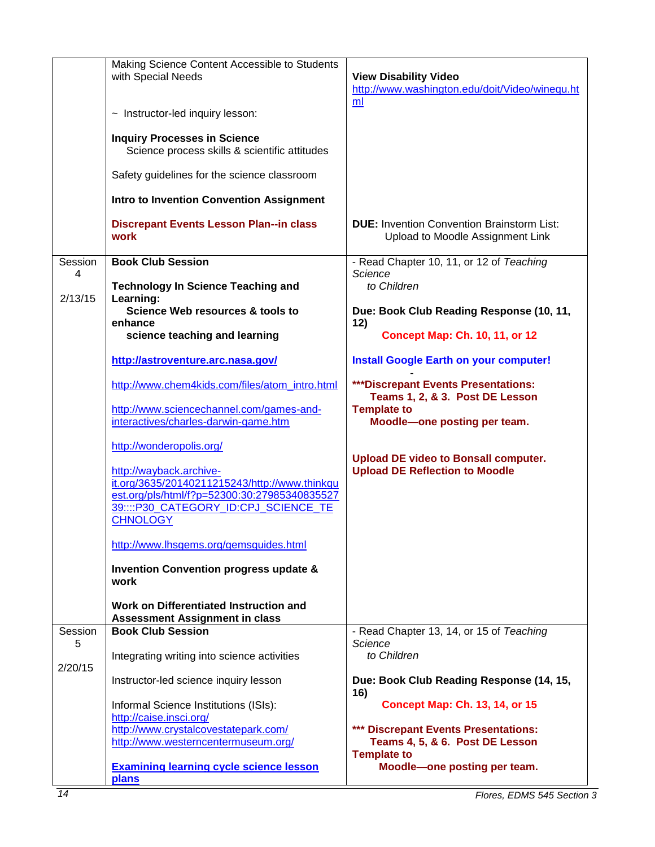|         | Making Science Content Accessible to Students<br>with Special Needs                           | <b>View Disability Video</b>                                                          |  |  |
|---------|-----------------------------------------------------------------------------------------------|---------------------------------------------------------------------------------------|--|--|
|         |                                                                                               | http://www.washington.edu/doit/Video/winequ.ht<br>ml                                  |  |  |
|         | ~ Instructor-led inquiry lesson:                                                              |                                                                                       |  |  |
|         | <b>Inquiry Processes in Science</b><br>Science process skills & scientific attitudes          |                                                                                       |  |  |
|         | Safety guidelines for the science classroom                                                   |                                                                                       |  |  |
|         | <b>Intro to Invention Convention Assignment</b>                                               |                                                                                       |  |  |
|         | <b>Discrepant Events Lesson Plan--in class</b><br>work                                        | <b>DUE:</b> Invention Convention Brainstorm List:<br>Upload to Moodle Assignment Link |  |  |
| Session | <b>Book Club Session</b>                                                                      | - Read Chapter 10, 11, or 12 of Teaching                                              |  |  |
| 4       | <b>Technology In Science Teaching and</b>                                                     | Science<br>to Children                                                                |  |  |
| 2/13/15 | Learning:<br>Science Web resources & tools to                                                 | Due: Book Club Reading Response (10, 11,                                              |  |  |
|         | enhance                                                                                       | 12)                                                                                   |  |  |
|         | science teaching and learning                                                                 | <b>Concept Map: Ch. 10, 11, or 12</b>                                                 |  |  |
|         | http://astroventure.arc.nasa.gov/                                                             | <b>Install Google Earth on your computer!</b>                                         |  |  |
|         | http://www.chem4kids.com/files/atom_intro.html                                                | ***Discrepant Events Presentations:<br>Teams 1, 2, & 3. Post DE Lesson                |  |  |
|         | http://www.sciencechannel.com/games-and-                                                      | <b>Template to</b>                                                                    |  |  |
|         | interactives/charles-darwin-game.htm                                                          | Moodle-one posting per team.                                                          |  |  |
|         | http://wonderopolis.org/                                                                      |                                                                                       |  |  |
|         | http://wayback.archive-                                                                       | <b>Upload DE video to Bonsall computer.</b><br><b>Upload DE Reflection to Moodle</b>  |  |  |
|         | it.org/3635/20140211215243/http://www.thinkqu<br>est.org/pls/html/f?p=52300:30:27985340835527 |                                                                                       |  |  |
|         | 39::::P30_CATEGORY_ID:CPJ_SCIENCE_TE                                                          |                                                                                       |  |  |
|         | <b>CHNOLOGY</b>                                                                               |                                                                                       |  |  |
|         | http://www.lhsgems.org/gemsguides.html                                                        |                                                                                       |  |  |
|         | <b>Invention Convention progress update &amp;</b><br>work                                     |                                                                                       |  |  |
|         | Work on Differentiated Instruction and<br><b>Assessment Assignment in class</b>               |                                                                                       |  |  |
| Session | <b>Book Club Session</b>                                                                      | - Read Chapter 13, 14, or 15 of Teaching                                              |  |  |
| 5       | Integrating writing into science activities                                                   | Science<br>to Children                                                                |  |  |
| 2/20/15 |                                                                                               |                                                                                       |  |  |
|         | Instructor-led science inquiry lesson                                                         | Due: Book Club Reading Response (14, 15,<br>16)                                       |  |  |
|         | Informal Science Institutions (ISIs):<br>http://caise.insci.org/                              | <b>Concept Map: Ch. 13, 14, or 15</b>                                                 |  |  |
|         | http://www.crystalcovestatepark.com/                                                          | *** Discrepant Events Presentations:                                                  |  |  |
|         | http://www.westerncentermuseum.org/                                                           | Teams 4, 5, & 6. Post DE Lesson<br><b>Template to</b>                                 |  |  |
|         | <b>Examining learning cycle science lesson</b><br>plans                                       | Moodle-one posting per team.                                                          |  |  |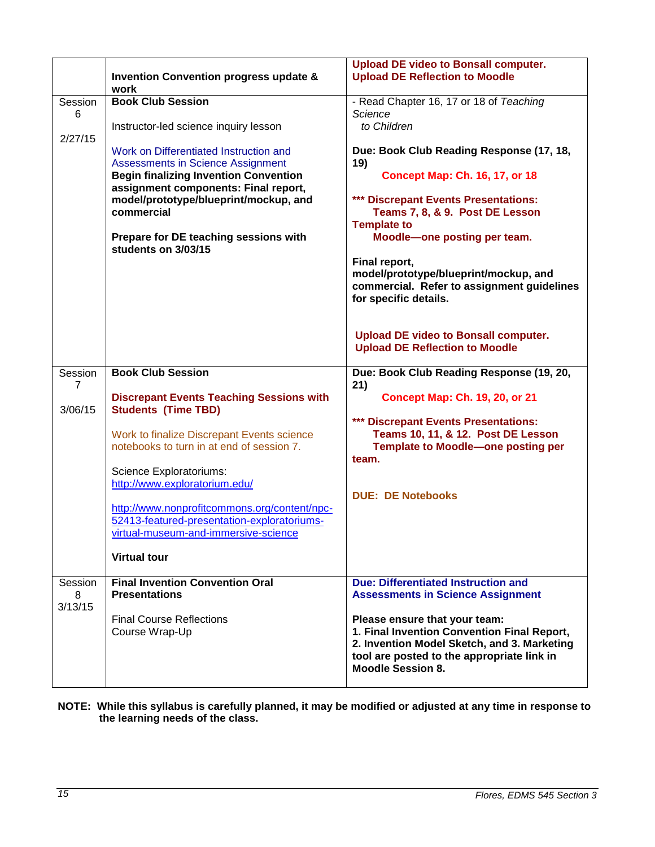|                         | <b>Invention Convention progress update &amp;</b><br>work                                                                                                                                                                                                                                                                                                                                                                                    | <b>Upload DE video to Bonsall computer.</b><br><b>Upload DE Reflection to Moodle</b>                                                                                                                                                                       |  |
|-------------------------|----------------------------------------------------------------------------------------------------------------------------------------------------------------------------------------------------------------------------------------------------------------------------------------------------------------------------------------------------------------------------------------------------------------------------------------------|------------------------------------------------------------------------------------------------------------------------------------------------------------------------------------------------------------------------------------------------------------|--|
| Session<br>6<br>2/27/15 | <b>Book Club Session</b><br>Instructor-led science inquiry lesson<br>Work on Differentiated Instruction and<br><b>Assessments in Science Assignment</b><br><b>Begin finalizing Invention Convention</b><br>assignment components: Final report,<br>model/prototype/blueprint/mockup, and<br>commercial                                                                                                                                       | - Read Chapter 16, 17 or 18 of Teaching<br>Science<br>to Children<br>Due: Book Club Reading Response (17, 18,<br>19)<br><b>Concept Map: Ch. 16, 17, or 18</b><br>*** Discrepant Events Presentations:<br>Teams 7, 8, & 9. Post DE Lesson                   |  |
|                         | Prepare for DE teaching sessions with<br>students on 3/03/15                                                                                                                                                                                                                                                                                                                                                                                 | <b>Template to</b><br>Moodle-one posting per team.<br>Final report,<br>model/prototype/blueprint/mockup, and<br>commercial. Refer to assignment guidelines<br>for specific details.<br><b>Upload DE video to Bonsall computer.</b>                         |  |
| Session                 | <b>Book Club Session</b>                                                                                                                                                                                                                                                                                                                                                                                                                     | <b>Upload DE Reflection to Moodle</b><br>Due: Book Club Reading Response (19, 20,                                                                                                                                                                          |  |
| 7<br>3/06/15<br>Session | <b>Discrepant Events Teaching Sessions with</b><br><b>Students (Time TBD)</b><br>Work to finalize Discrepant Events science<br>notebooks to turn in at end of session 7.<br>Science Exploratoriums:<br>http://www.exploratorium.edu/<br>http://www.nonprofitcommons.org/content/npc-<br>52413-featured-presentation-exploratoriums-<br>virtual-museum-and-immersive-science<br><b>Virtual tour</b><br><b>Final Invention Convention Oral</b> | 21)<br><b>Concept Map: Ch. 19, 20, or 21</b><br>*** Discrepant Events Presentations:<br>Teams 10, 11, & 12. Post DE Lesson<br><b>Template to Moodle-one posting per</b><br>team.<br><b>DUE: DE Notebooks</b><br><b>Due: Differentiated Instruction and</b> |  |
| 8<br>3/13/15            | <b>Presentations</b><br><b>Final Course Reflections</b><br>Course Wrap-Up                                                                                                                                                                                                                                                                                                                                                                    | <b>Assessments in Science Assignment</b><br>Please ensure that your team:<br>1. Final Invention Convention Final Report,<br>2. Invention Model Sketch, and 3. Marketing<br>tool are posted to the appropriate link in<br><b>Moodle Session 8.</b>          |  |

**NOTE: While this syllabus is carefully planned, it may be modified or adjusted at any time in response to the learning needs of the class.**